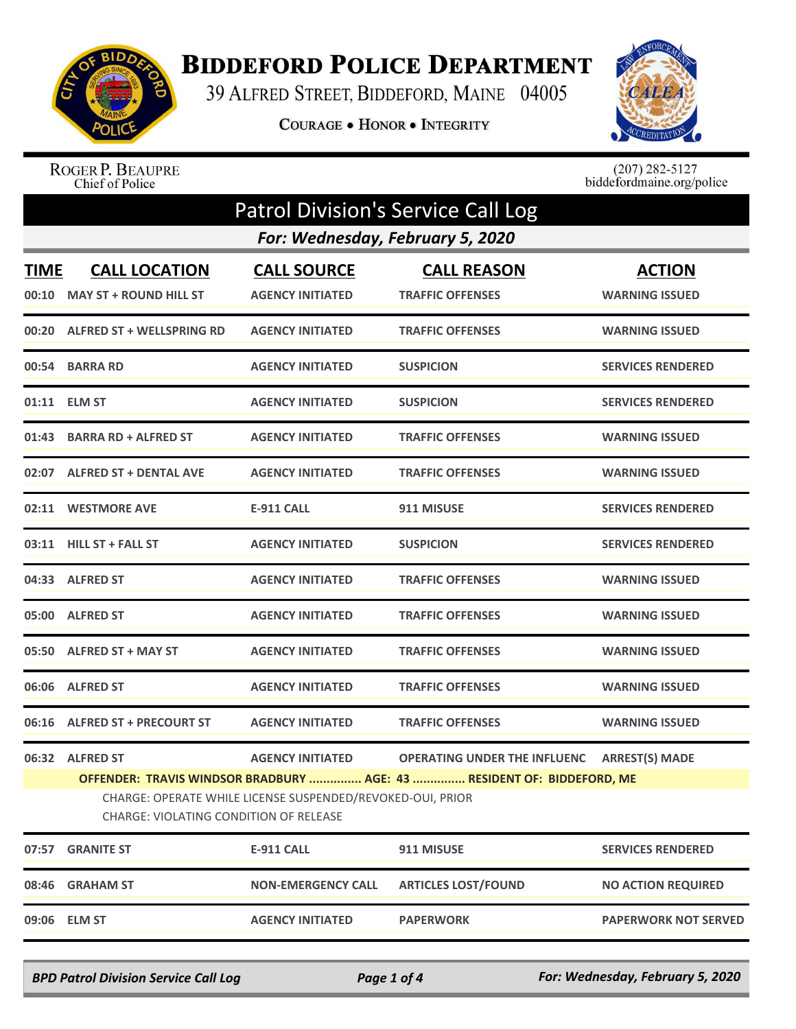

## **BIDDEFORD POLICE DEPARTMENT**

39 ALFRED STREET, BIDDEFORD, MAINE 04005

**COURAGE . HONOR . INTEGRITY** 



ROGER P. BEAUPRE<br>Chief of Police

 $(207)$  282-5127<br>biddefordmaine.org/police

| <b>Patrol Division's Service Call Log</b>                                                                                                                                      |                                                       |                                               |                                               |                                        |  |  |
|--------------------------------------------------------------------------------------------------------------------------------------------------------------------------------|-------------------------------------------------------|-----------------------------------------------|-----------------------------------------------|----------------------------------------|--|--|
| For: Wednesday, February 5, 2020                                                                                                                                               |                                                       |                                               |                                               |                                        |  |  |
| <b>TIME</b><br>00:10                                                                                                                                                           | <b>CALL LOCATION</b><br><b>MAY ST + ROUND HILL ST</b> | <b>CALL SOURCE</b><br><b>AGENCY INITIATED</b> | <b>CALL REASON</b><br><b>TRAFFIC OFFENSES</b> | <b>ACTION</b><br><b>WARNING ISSUED</b> |  |  |
|                                                                                                                                                                                | 00:20 ALFRED ST + WELLSPRING RD                       | <b>AGENCY INITIATED</b>                       | <b>TRAFFIC OFFENSES</b>                       | <b>WARNING ISSUED</b>                  |  |  |
|                                                                                                                                                                                | 00:54 BARRA RD                                        | <b>AGENCY INITIATED</b>                       | <b>SUSPICION</b>                              | <b>SERVICES RENDERED</b>               |  |  |
|                                                                                                                                                                                | 01:11 ELM ST                                          | <b>AGENCY INITIATED</b>                       | <b>SUSPICION</b>                              | <b>SERVICES RENDERED</b>               |  |  |
|                                                                                                                                                                                | 01:43 BARRA RD + ALFRED ST                            | <b>AGENCY INITIATED</b>                       | <b>TRAFFIC OFFENSES</b>                       | <b>WARNING ISSUED</b>                  |  |  |
|                                                                                                                                                                                | 02:07 ALFRED ST + DENTAL AVE                          | <b>AGENCY INITIATED</b>                       | <b>TRAFFIC OFFENSES</b>                       | <b>WARNING ISSUED</b>                  |  |  |
|                                                                                                                                                                                | 02:11 WESTMORE AVE                                    | <b>E-911 CALL</b>                             | 911 MISUSE                                    | <b>SERVICES RENDERED</b>               |  |  |
|                                                                                                                                                                                | 03:11 HILL ST + FALL ST                               | <b>AGENCY INITIATED</b>                       | <b>SUSPICION</b>                              | <b>SERVICES RENDERED</b>               |  |  |
|                                                                                                                                                                                | 04:33 ALFRED ST                                       | <b>AGENCY INITIATED</b>                       | <b>TRAFFIC OFFENSES</b>                       | <b>WARNING ISSUED</b>                  |  |  |
|                                                                                                                                                                                | 05:00 ALFRED ST                                       | <b>AGENCY INITIATED</b>                       | <b>TRAFFIC OFFENSES</b>                       | <b>WARNING ISSUED</b>                  |  |  |
|                                                                                                                                                                                | 05:50 ALFRED ST + MAY ST                              | <b>AGENCY INITIATED</b>                       | <b>TRAFFIC OFFENSES</b>                       | <b>WARNING ISSUED</b>                  |  |  |
|                                                                                                                                                                                | 06:06 ALFRED ST                                       | <b>AGENCY INITIATED</b>                       | <b>TRAFFIC OFFENSES</b>                       | <b>WARNING ISSUED</b>                  |  |  |
|                                                                                                                                                                                | 06:16 ALFRED ST + PRECOURT ST                         | <b>AGENCY INITIATED</b>                       | <b>TRAFFIC OFFENSES</b>                       | <b>WARNING ISSUED</b>                  |  |  |
|                                                                                                                                                                                | 06:32 ALFRED ST                                       | <b>AGENCY INITIATED</b>                       | <b>OPERATING UNDER THE INFLUENC</b>           | <b>ARREST(S) MADE</b>                  |  |  |
| OFFENDER: TRAVIS WINDSOR BRADBURY  AGE: 43  RESIDENT OF: BIDDEFORD, ME<br>CHARGE: OPERATE WHILE LICENSE SUSPENDED/REVOKED-OUI, PRIOR<br>CHARGE: VIOLATING CONDITION OF RELEASE |                                                       |                                               |                                               |                                        |  |  |
| 07:57                                                                                                                                                                          | <b>GRANITE ST</b>                                     | <b>E-911 CALL</b>                             | 911 MISUSE                                    | <b>SERVICES RENDERED</b>               |  |  |
| 08:46                                                                                                                                                                          | <b>GRAHAM ST</b>                                      | <b>NON-EMERGENCY CALL</b>                     | <b>ARTICLES LOST/FOUND</b>                    | <b>NO ACTION REQUIRED</b>              |  |  |
| 09:06                                                                                                                                                                          | <b>ELM ST</b>                                         | <b>AGENCY INITIATED</b>                       | <b>PAPERWORK</b>                              | <b>PAPERWORK NOT SERVED</b>            |  |  |
|                                                                                                                                                                                |                                                       |                                               |                                               |                                        |  |  |

*BPD Patrol Division Service Call Log Page 1 of 4 For: Wednesday, February 5, 2020*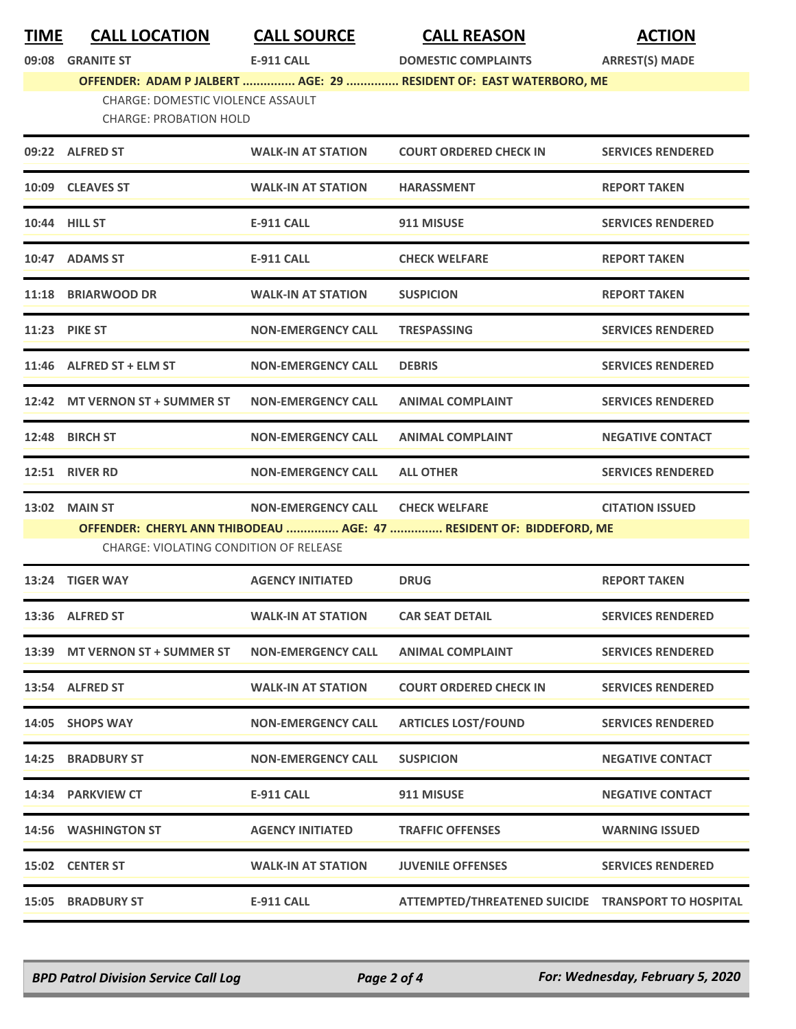| <b>TIME</b> | <b>CALL LOCATIC</b> |  |
|-------------|---------------------|--|
|             |                     |  |

**TIME CALL LOCATION CALL SOURCE CALL REASON ACTION**

**09:08 GRANITE ST E-911 CALL DOMESTIC COMPLAINTS ARREST(S) MADE**

**OFFENDER: ADAM P JALBERT ............... AGE: 29 ............... RESIDENT OF: EAST WATERBORO, ME** CHARGE: DOMESTIC VIOLENCE ASSAULT CHARGE: PROBATION HOLD

| 09:22 ALFRED ST                        | <b>WALK-IN AT STATION</b> | <b>COURT ORDERED CHECK IN</b>                                       | <b>SERVICES RENDERED</b> |
|----------------------------------------|---------------------------|---------------------------------------------------------------------|--------------------------|
| 10:09 CLEAVES ST                       | <b>WALK-IN AT STATION</b> | <b>HARASSMENT</b>                                                   | <b>REPORT TAKEN</b>      |
| 10:44 HILL ST                          | <b>E-911 CALL</b>         | 911 MISUSE                                                          | <b>SERVICES RENDERED</b> |
| 10:47 ADAMS ST                         | <b>E-911 CALL</b>         | <b>CHECK WELFARE</b>                                                | <b>REPORT TAKEN</b>      |
| 11:18 BRIARWOOD DR                     | <b>WALK-IN AT STATION</b> | <b>SUSPICION</b>                                                    | <b>REPORT TAKEN</b>      |
| <b>11:23 PIKE ST</b>                   | <b>NON-EMERGENCY CALL</b> | <b>TRESPASSING</b>                                                  | <b>SERVICES RENDERED</b> |
| $11:46$ ALFRED ST + ELM ST             | <b>NON-EMERGENCY CALL</b> | <b>DEBRIS</b>                                                       | <b>SERVICES RENDERED</b> |
| 12:42 MT VERNON ST + SUMMER ST         | <b>NON-EMERGENCY CALL</b> | <b>ANIMAL COMPLAINT</b>                                             | <b>SERVICES RENDERED</b> |
| 12:48 BIRCH ST                         | <b>NON-EMERGENCY CALL</b> | <b>ANIMAL COMPLAINT</b>                                             | <b>NEGATIVE CONTACT</b>  |
| 12:51 RIVER RD                         | <b>NON-EMERGENCY CALL</b> | <b>ALL OTHER</b>                                                    | <b>SERVICES RENDERED</b> |
| 13:02 MAIN ST                          | <b>NON-EMERGENCY CALL</b> | <b>CHECK WELFARE</b>                                                | <b>CITATION ISSUED</b>   |
|                                        |                           | OFFENDER: CHERYL ANN THIBODEAU  AGE: 47  RESIDENT OF: BIDDEFORD, ME |                          |
| CHARGE: VIOLATING CONDITION OF RELEASE |                           |                                                                     |                          |
| 13:24 TIGER WAY                        | <b>AGENCY INITIATED</b>   | <b>DRUG</b>                                                         | <b>REPORT TAKEN</b>      |
| 13:36 ALFRED ST                        | <b>WALK-IN AT STATION</b> | <b>CAR SEAT DETAIL</b>                                              | <b>SERVICES RENDERED</b> |
| 13:39 MT VERNON ST + SUMMER ST         | <b>NON-EMERGENCY CALL</b> | <b>ANIMAL COMPLAINT</b>                                             | <b>SERVICES RENDERED</b> |
| 13:54 ALFRED ST                        | <b>WALK-IN AT STATION</b> | <b>COURT ORDERED CHECK IN</b>                                       | <b>SERVICES RENDERED</b> |
| 14:05 SHOPS WAY                        | <b>NON-EMERGENCY CALL</b> | <b>ARTICLES LOST/FOUND</b>                                          | <b>SERVICES RENDERED</b> |
| 14:25 BRADBURY ST                      | <b>NON-EMERGENCY CALL</b> | <b>SUSPICION</b>                                                    | <b>NEGATIVE CONTACT</b>  |
| 14:34 PARKVIEW CT                      | E-911 CALL                | 911 MISUSE                                                          | <b>NEGATIVE CONTACT</b>  |
| 14:56 WASHINGTON ST                    | <b>AGENCY INITIATED</b>   | <b>TRAFFIC OFFENSES</b>                                             | <b>WARNING ISSUED</b>    |
| 15:02 CENTER ST                        | <b>WALK-IN AT STATION</b> | <b>JUVENILE OFFENSES</b>                                            | <b>SERVICES RENDERED</b> |
| <b>15:05 BRADBURY ST</b>               | E-911 CALL                | ATTEMPTED/THREATENED SUICIDE TRANSPORT TO HOSPITAL                  |                          |
|                                        |                           |                                                                     |                          |

*BPD Patrol Division Service Call Log Page 2 of 4 For: Wednesday, February 5, 2020*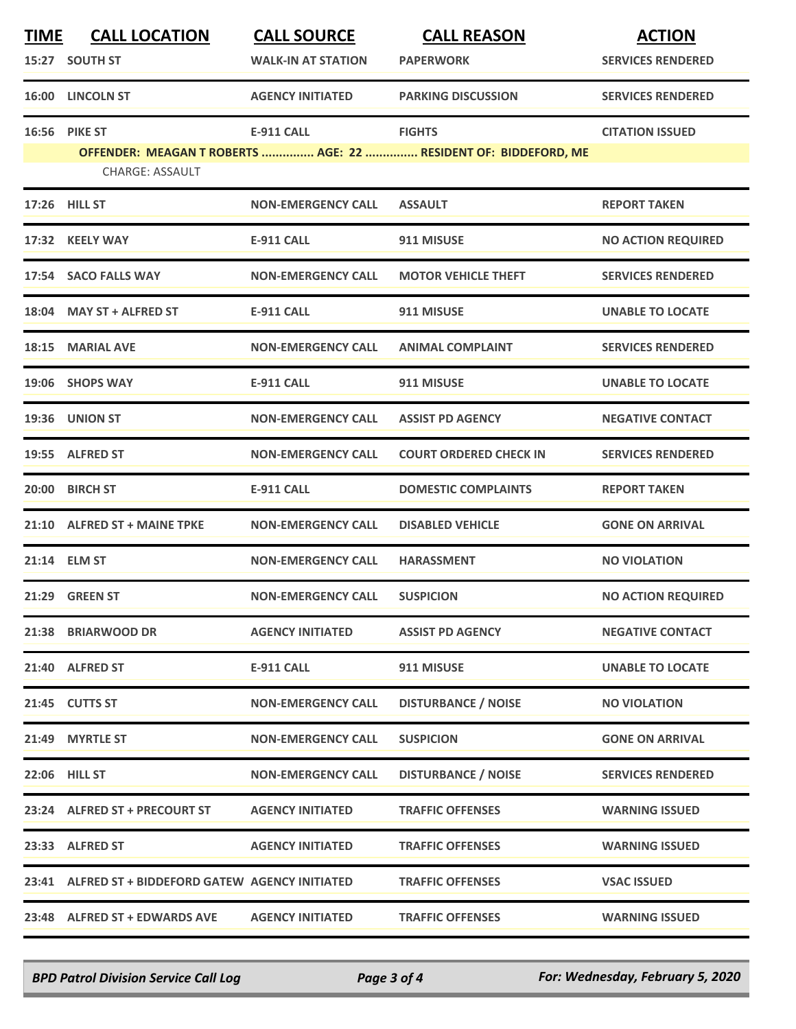| <b>TIME</b> | <b>CALL LOCATION</b>                               | <b>CALL SOURCE</b>        | <b>CALL REASON</b>                                              | <b>ACTION</b>             |
|-------------|----------------------------------------------------|---------------------------|-----------------------------------------------------------------|---------------------------|
|             | 15:27 SOUTH ST                                     | <b>WALK-IN AT STATION</b> | <b>PAPERWORK</b>                                                | <b>SERVICES RENDERED</b>  |
|             | <b>16:00 LINCOLN ST</b>                            | <b>AGENCY INITIATED</b>   | <b>PARKING DISCUSSION</b>                                       | <b>SERVICES RENDERED</b>  |
|             | <b>16:56 PIKE ST</b>                               | <b>E-911 CALL</b>         | <b>FIGHTS</b>                                                   | <b>CITATION ISSUED</b>    |
|             | <b>CHARGE: ASSAULT</b>                             |                           | OFFENDER: MEAGAN T ROBERTS  AGE: 22  RESIDENT OF: BIDDEFORD, ME |                           |
|             | 17:26 HILL ST                                      | <b>NON-EMERGENCY CALL</b> | <b>ASSAULT</b>                                                  | <b>REPORT TAKEN</b>       |
|             | 17:32 KEELY WAY                                    | <b>E-911 CALL</b>         | 911 MISUSE                                                      | <b>NO ACTION REQUIRED</b> |
|             | 17:54 SACO FALLS WAY                               | <b>NON-EMERGENCY CALL</b> | <b>MOTOR VEHICLE THEFT</b>                                      | <b>SERVICES RENDERED</b>  |
|             | 18:04 MAY ST + ALFRED ST                           | <b>E-911 CALL</b>         | 911 MISUSE                                                      | <b>UNABLE TO LOCATE</b>   |
|             | 18:15 MARIAL AVE                                   | <b>NON-EMERGENCY CALL</b> | <b>ANIMAL COMPLAINT</b>                                         | <b>SERVICES RENDERED</b>  |
|             | 19:06 SHOPS WAY                                    | <b>E-911 CALL</b>         | 911 MISUSE                                                      | <b>UNABLE TO LOCATE</b>   |
|             | 19:36 UNION ST                                     | <b>NON-EMERGENCY CALL</b> | <b>ASSIST PD AGENCY</b>                                         | <b>NEGATIVE CONTACT</b>   |
|             | 19:55 ALFRED ST                                    | <b>NON-EMERGENCY CALL</b> | <b>COURT ORDERED CHECK IN</b>                                   | <b>SERVICES RENDERED</b>  |
|             | 20:00 BIRCH ST                                     | <b>E-911 CALL</b>         | <b>DOMESTIC COMPLAINTS</b>                                      | <b>REPORT TAKEN</b>       |
|             | 21:10 ALFRED ST + MAINE TPKE                       | <b>NON-EMERGENCY CALL</b> | <b>DISABLED VEHICLE</b>                                         | <b>GONE ON ARRIVAL</b>    |
|             | 21:14 ELM ST                                       | <b>NON-EMERGENCY CALL</b> | <b>HARASSMENT</b>                                               | <b>NO VIOLATION</b>       |
|             | 21:29 GREEN ST                                     | <b>NON-EMERGENCY CALL</b> | <b>SUSPICION</b>                                                | <b>NO ACTION REQUIRED</b> |
|             | 21:38 BRIARWOOD DR                                 | <b>AGENCY INITIATED</b>   | <b>ASSIST PD AGENCY</b>                                         | <b>NEGATIVE CONTACT</b>   |
|             | 21:40 ALFRED ST                                    | <b>E-911 CALL</b>         | 911 MISUSE                                                      | <b>UNABLE TO LOCATE</b>   |
|             | 21:45 CUTTS ST                                     | <b>NON-EMERGENCY CALL</b> | <b>DISTURBANCE / NOISE</b>                                      | <b>NO VIOLATION</b>       |
|             | 21:49 MYRTLE ST                                    | <b>NON-EMERGENCY CALL</b> | <b>SUSPICION</b>                                                | <b>GONE ON ARRIVAL</b>    |
|             | <b>22:06 HILL ST</b>                               | <b>NON-EMERGENCY CALL</b> | <b>DISTURBANCE / NOISE</b>                                      | <b>SERVICES RENDERED</b>  |
|             | 23:24 ALFRED ST + PRECOURT ST                      | <b>AGENCY INITIATED</b>   | <b>TRAFFIC OFFENSES</b>                                         | <b>WARNING ISSUED</b>     |
|             | 23:33 ALFRED ST                                    | <b>AGENCY INITIATED</b>   | <b>TRAFFIC OFFENSES</b>                                         | <b>WARNING ISSUED</b>     |
|             | 23:41 ALFRED ST + BIDDEFORD GATEW AGENCY INITIATED |                           | <b>TRAFFIC OFFENSES</b>                                         | <b>VSAC ISSUED</b>        |
|             | 23:48 ALFRED ST + EDWARDS AVE                      | <b>AGENCY INITIATED</b>   | <b>TRAFFIC OFFENSES</b>                                         | <b>WARNING ISSUED</b>     |

*BPD Patrol Division Service Call Log Page 3 of 4 For: Wednesday, February 5, 2020*